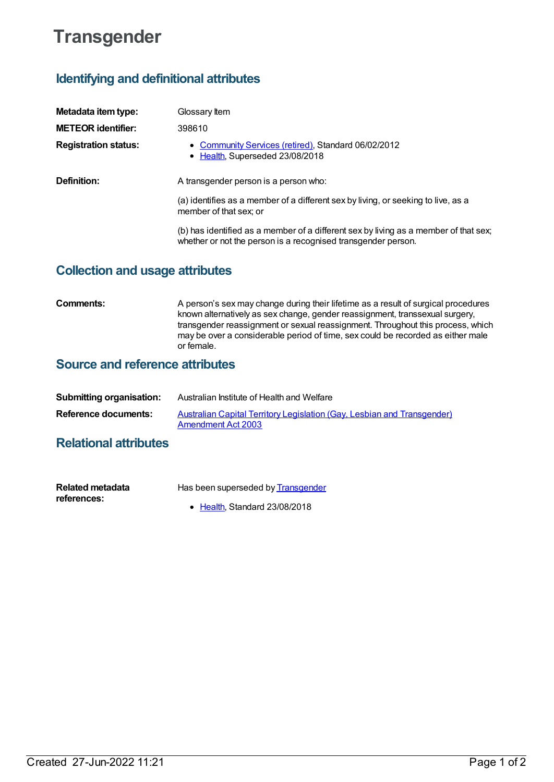# **Transgender**

## **Identifying and definitional attributes**

| Metadata item type:         | Glossary Item                                                                                                                                         |  |
|-----------------------------|-------------------------------------------------------------------------------------------------------------------------------------------------------|--|
| <b>METEOR identifier:</b>   | 398610                                                                                                                                                |  |
| <b>Registration status:</b> | • Community Services (retired), Standard 06/02/2012<br>• Health, Superseded 23/08/2018                                                                |  |
| Definition:                 | A transgender person is a person who:                                                                                                                 |  |
|                             | (a) identifies as a member of a different sex by living, or seeking to live, as a<br>member of that sex; or                                           |  |
|                             | (b) has identified as a member of a different sex by living as a member of that sex;<br>whether or not the person is a recognised transgender person. |  |

### **Collection and usage attributes**

**Comments:** A person's sex may change during their lifetime as a result of surgical procedures known alternatively as sex change, gender reassignment, transsexual surgery, transgender reassignment or sexual reassignment. Throughout this process, which may be over a considerable period of time, sex could be recorded as either male or female.

### **Source and reference attributes**

| <b>Submitting organisation:</b> | Australian Institute of Health and Welfare                                                           |
|---------------------------------|------------------------------------------------------------------------------------------------------|
| Reference documents:            | Australian Capital Territory Legislation (Gay, Lesbian and Transgender)<br><b>Amendment Act 2003</b> |

### **Relational attributes**

| <b>Related metadata</b> | Has been superseded by <b>Transgender</b> |
|-------------------------|-------------------------------------------|
| references:             |                                           |
|                         | $\bullet$ Health. Standard 23/08/2018     |